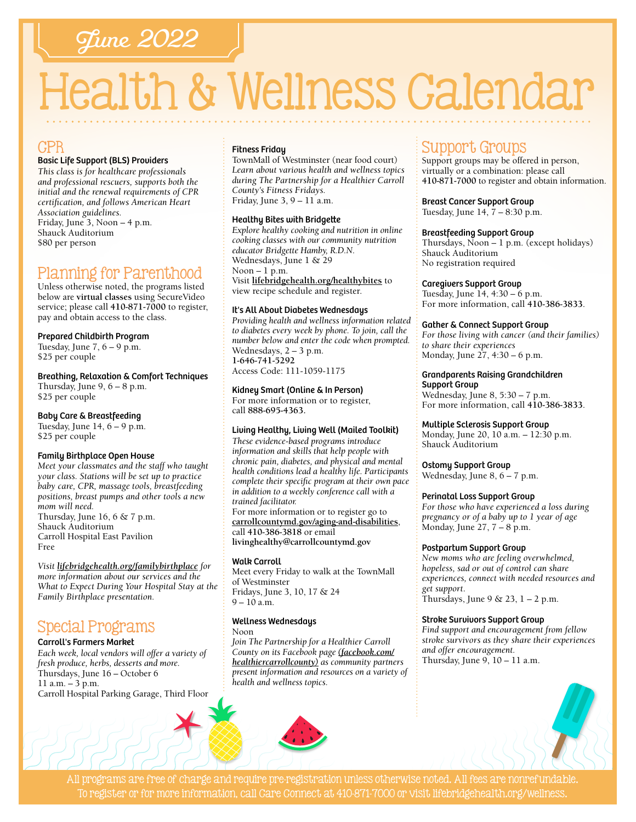# June 2022

# Health & Wellness Calendar

#### CPR

#### Basic Life Support (BLS) Providers

*This class is for healthcare professionals and professional rescuers, supports both the initial and the renewal requirements of CPR certification, and follows American Heart Association guidelines.*  Friday, June 3, Noon – 4 p.m. Shauck Auditorium \$80 per person

## Planning for Parenthood

Unless otherwise noted, the programs listed below are **virtual classes** using SecureVideo service; please call **[410-871-7000](tel:4108717000)** to register, pay and obtain access to the class.

#### Prepared Childbirth Program

Tuesday, June  $7, 6 - 9$  p.m. \$25 per couple

Breathing, Relaxation & Comfort Techniques Thursday, June  $9, 6 - 8$  p.m. \$25 per couple

Baby Care & Breastfeeding Tuesday, June  $14, 6 - 9$  p.m. \$25 per couple

#### Family Birthplace Open House

*Meet your classmates and the staff who taught your class. Stations will be set up to practice baby care, CPR, massage tools, breastfeeding positions, breast pumps and other tools a new mom will need.*  Thursday, June 16, 6 & 7 p.m. Shauck Auditorium Carroll Hospital East Pavilion Free

*Visit [lifebridgehealth.org/familybirthplace](http://www.lifebridgehealth.org/familybirthplace) for more information about our services and the What to Expect During Your Hospital Stay at the Family Birthplace presentation.*

### Special Programs

#### Carroll's Farmers Market

*Each week, local vendors will offer a variety of fresh produce, herbs, desserts and more.* Thursdays, June 16 – October 6 11 a.m. – 3 p.m. Carroll Hospital Parking Garage, Third Floor

#### Fitness Friday

TownMall of Westminster (near food court) *Learn about various health and wellness topics during The Partnership for a Healthier Carroll County's Fitness Fridays.*  Friday, June 3,  $9 - 11$  a.m.

#### Healthy Bites with Bridgette

*Explore healthy cooking and nutrition in online cooking classes with our community nutrition educator Bridgette Hamby, R.D.N.* Wednesdays, June 1 & 29  $N$ oon  $-1$  p.m. Visit **[lifebridgehealth.org/healthybites](https://www.lifebridgehealth.org/Carroll/HealthyBites.aspx)** to view recipe schedule and register.

#### It's All About Diabetes Wednesdays

*Providing health and wellness information related to diabetes every week by phone. To join, call the number below and enter the code when prompted.* Wednesdays, 2 – 3 p.m. **[1-646-741-5292](tel:16467415292)**

Access Code: 111-1059-1175

#### Kidney Smart (Online & In Person)

For more information or to register, call **88[8-695-4](tel:8886954363)363.** 

#### Living Healthy, Living Well (Mailed Toolkit)

*These evidence-based programs introduce information and skills that help people with chronic pain, diabetes, and physical and mental health conditions lead a healthy life. Participants complete their specific program at their own pace in addition to a weekly conference call with a trained facilitator.* For more information or to register go to **[carrollcountymd.gov/aging-and-disabilities](https://www.carrollcountymd.gov/aging-and-disabilities)**, call **[410-386-3818](tel:4103863818)** or email

**[livinghealthy@carrollcountymd.gov](mailto:livinghealthy@carrollcountymd.gov)**

#### Walk Carroll

Meet every Friday to walk at the TownMall of Westminster Fridays, June 3, 10, 17 & 24  $9 - 10$  a.m.

#### Wellness Wednesdays

Noon

*Join The Partnership for a Healthier Carroll County on its Facebook page [\(facebook.com/](http://facebook.com/healthiercarrollcounty) [healthiercarrollcounty\)](http://facebook.com/healthiercarrollcounty) as community partners present information and resources on a variety of health and wellness topics.* 

#### Support Groups

Support groups may be offered in person, virtually or a combination: please call **[410-871-7000](tel:4108717000)** to register and obtain information.

#### Breast Cancer Support Group

Tuesday, June 14, 7 – 8:30 p.m.

#### Breastfeeding Support Group

Thursdays, Noon – 1 p.m. (except holidays) Shauck Auditorium No registration required

#### Caregivers Support Group

Tuesday, June 14, 4:30 – 6 p.m. For more information, call **[410-386-3833](tel:4103863833)**.

#### Gather & Connect Support Group

*For those living with cancer (and their families) to share their experiences*  Monday, June 27, 4:30 – 6 p.m.

#### Grandparents Raising Grandchildren Support Group

Wednesday, June 8, 5:30 – 7 p.m. For more information, call **[410-386-3833](tel:4103863833)**.

#### Multiple Sclerosis Support Group

Monday, June 20, 10 a.m. – 12:30 p.m. Shauck Auditorium

#### Ostomy Support Group

Wednesday, June 8, 6 – 7 p.m.

#### Perinatal Loss Support Group

*For those who have experienced a loss during pregnancy or of a baby up to 1 year of age* Monday, June 27, 7 – 8 p.m.

#### Postpartum Support Group

*New moms who are feeling overwhelmed, hopeless, sad or out of control can share experiences, connect with needed resources and get support*. Thursdays, June 9 & 23,  $1 - 2$  p.m.

#### Stroke Survivors Support Group

*Find support and encouragement from fellow stroke survivors as they share their experiences and offer encouragement.*  Thursday, June 9, 10 – 11 a.m.